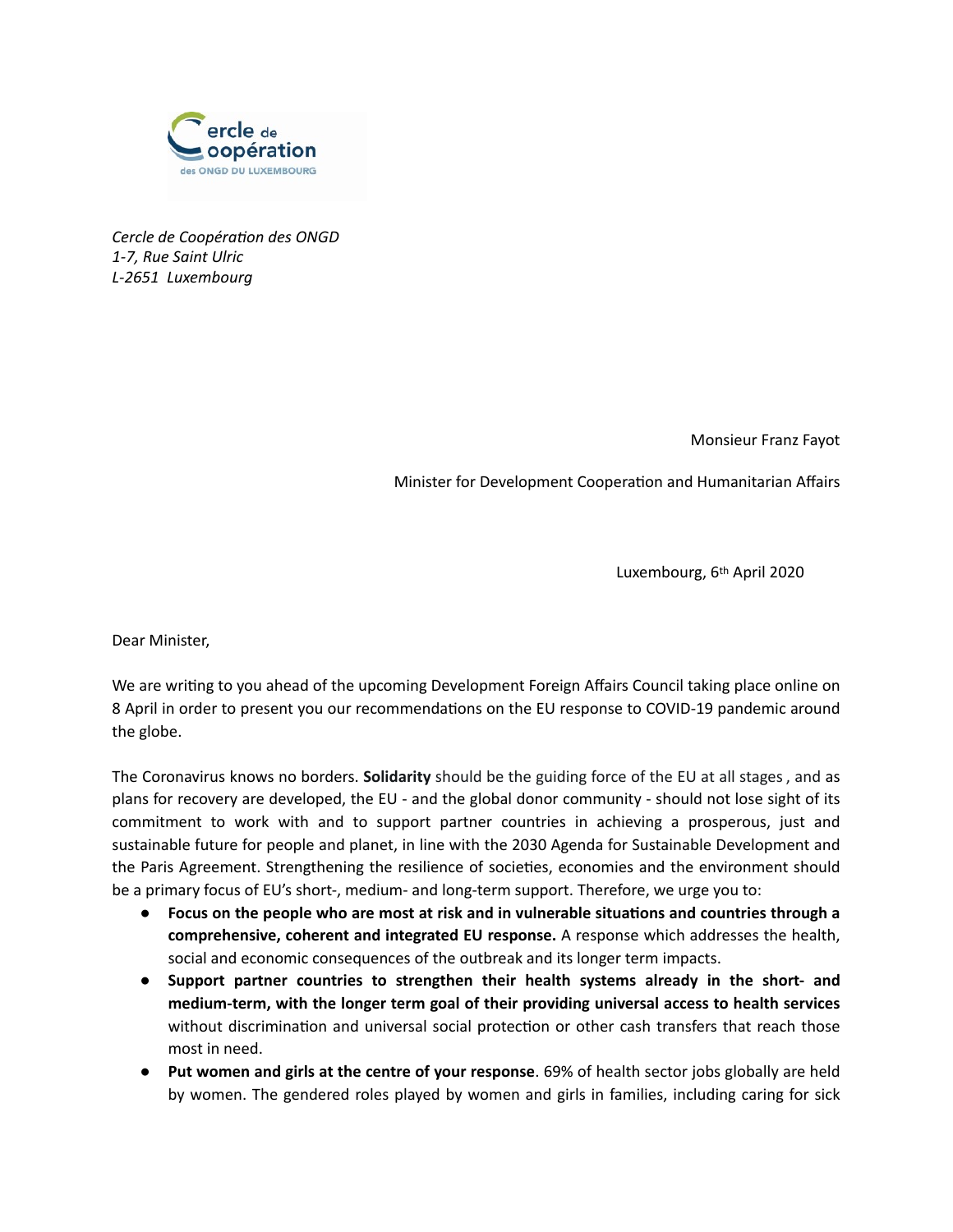

*Cercle de Coopération des ONGD 1-7, Rue Saint Ulric L-2651 Luxembourg* 

Monsieur Franz Fayot

Minister for Development Cooperation and Humanitarian Affairs

Luxembourg, 6th April 2020

Dear Minister,

We are writing to you ahead of the upcoming Development Foreign Affairs Council taking place online on 8 April in order to present you our recommendations on the EU response to COVID-19 pandemic around the globe.

The Coronavirus knows no borders. **Solidarity** should be the guiding force of the EU at all stages, and as plans for recovery are developed, the EU - and the global donor community - should not lose sight of its commitment to work with and to support partner countries in achieving a prosperous, just and sustainable future for people and planet, in line with the 2030 Agenda for Sustainable Development and the Paris Agreement. Strengthening the resilience of societies, economies and the environment should be a primary focus of EU's short-, medium- and long-term support. Therefore, we urge you to:

- **•** Focus on the people who are most at risk and in vulnerable situations and countries through a **comprehensive, coherent and integrated EU response.** A response which addresses the health, social and economic consequences of the outbreak and its longer term impacts.
- **Support partner countries to strengthen their health systems already in the short- and medium-term, with the longer term goal of their providing universal access to health services**  without discrimination and universal social protection or other cash transfers that reach those most in need.
- **Put women and girls at the centre of your response**. 69% of health sector jobs globally are held by women. The gendered roles played by women and girls in families, including caring for sick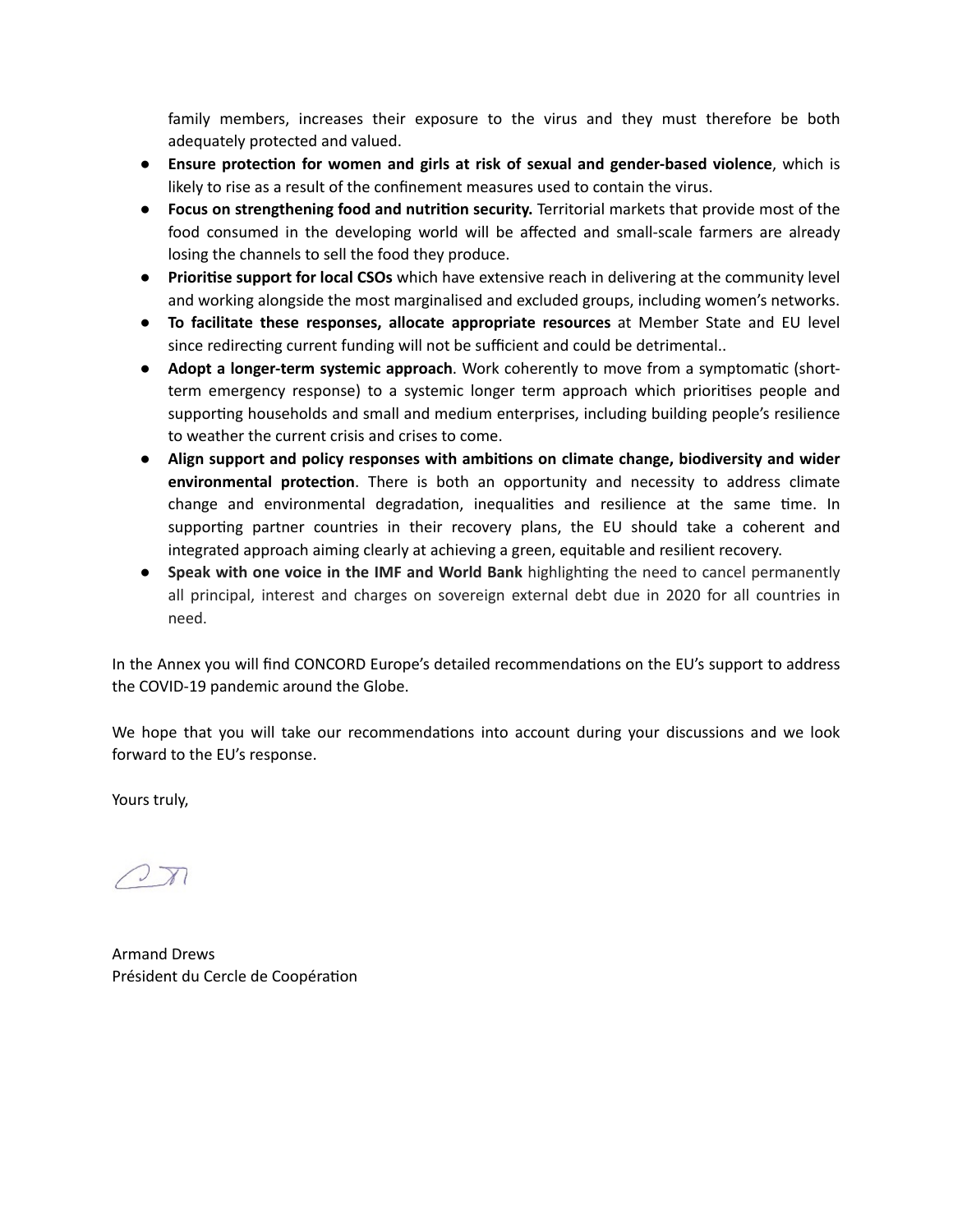family members, increases their exposure to the virus and they must therefore be both adequately protected and valued.

- **Ensure protec8on for women and girls at risk of sexual and gender-based violence**, which is likely to rise as a result of the confinement measures used to contain the virus.
- **Focus on strengthening food and nutrition security.** Territorial markets that provide most of the food consumed in the developing world will be affected and small-scale farmers are already losing the channels to sell the food they produce.
- **Prioritise support for local CSOs** which have extensive reach in delivering at the community level and working alongside the most marginalised and excluded groups, including women's networks.
- **To facilitate these responses, allocate appropriate resources** at Member State and EU level since redirecting current funding will not be sufficient and could be detrimental..
- **Adopt a longer-term systemic approach**. Work coherently to move from a symptomatic (shortterm emergency response) to a systemic longer term approach which prioritises people and supporting households and small and medium enterprises, including building people's resilience to weather the current crisis and crises to come.
- **•** Align support and policy responses with ambitions on climate change, biodiversity and wider **environmental protection**. There is both an opportunity and necessity to address climate change and environmental degradation, inequalities and resilience at the same time. In supporting partner countries in their recovery plans, the EU should take a coherent and integrated approach aiming clearly at achieving a green, equitable and resilient recovery.
- **•** Speak with one voice in the IMF and World Bank highlighting the need to cancel permanently all principal, interest and charges on sovereign external debt due in 2020 for all countries in need.

In the Annex you will find CONCORD Europe's detailed recommendations on the EU's support to address the COVID-19 pandemic around the Globe.

We hope that you will take our recommendations into account during your discussions and we look forward to the EU's response.

Yours truly,

Armand Drews Président du Cercle de Coopération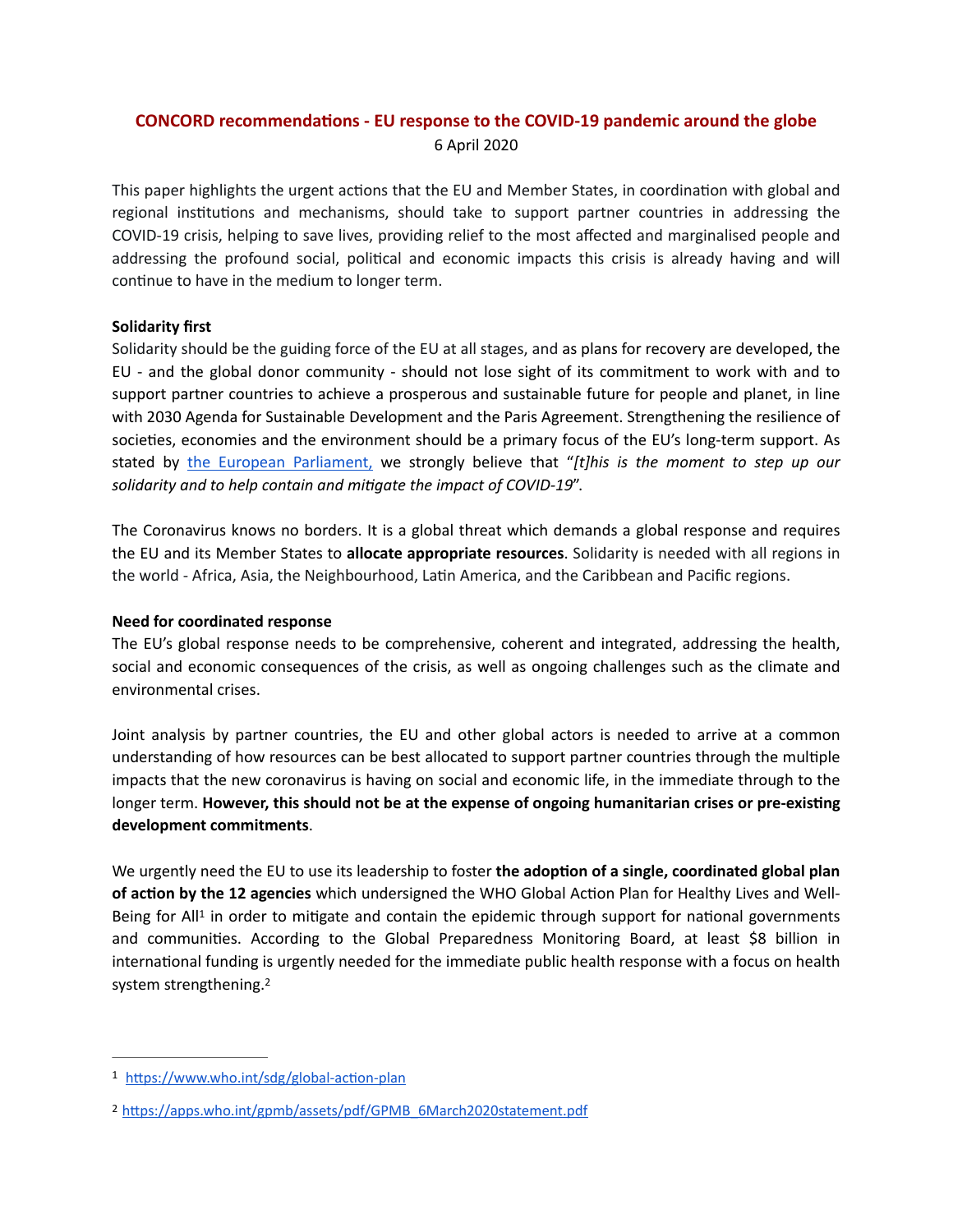# **CONCORD recommendations - EU response to the COVID-19 pandemic around the globe** 6 April 2020

This paper highlights the urgent actions that the EU and Member States, in coordination with global and regional institutions and mechanisms, should take to support partner countries in addressing the COVID-19 crisis, helping to save lives, providing relief to the most affected and marginalised people and addressing the profound social, political and economic impacts this crisis is already having and will continue to have in the medium to longer term.

# **Solidarity first**

Solidarity should be the guiding force of the EU at all stages, and as plans for recovery are developed, the EU - and the global donor community - should not lose sight of its commitment to work with and to support partner countries to achieve a prosperous and sustainable future for people and planet, in line with 2030 Agenda for Sustainable Development and the Paris Agreement. Strengthening the resilience of societies, economies and the environment should be a primary focus of the EU's long-term support. As stated b[y the European Parliament,](https://www.europarl.europa.eu/cmsdata/199500/STAMPED_D(2020)10983_McAllister%2520Tobe%2520Overtveldt%2520to%2520VP_HR_Commission_COVID%252019.pdf) we strongly believe that "*[t]his is the moment to step up our*  solidarity and to help contain and mitigate the impact of COVID-19".

The Coronavirus knows no borders. It is a global threat which demands a global response and requires the EU and its Member States to **allocate appropriate resources**. Solidarity is needed with all regions in the world - Africa, Asia, the Neighbourhood, Latin America, and the Caribbean and Pacific regions.

## **Need for coordinated response**

The EU's global response needs to be comprehensive, coherent and integrated, addressing the health, social and economic consequences of the crisis, as well as ongoing challenges such as the climate and environmental crises.

Joint analysis by partner countries, the EU and other global actors is needed to arrive at a common understanding of how resources can be best allocated to support partner countries through the multiple impacts that the new coronavirus is having on social and economic life, in the immediate through to the longer term. However, this should not be at the expense of ongoing humanitarian crises or pre-existing **development commitments**.

<span id="page-2-2"></span>We urgently need the EU to use its leadership to foster the adoption of a single, coordinated global plan **of action by the 12 agencies** which undersigned the WHO Global Action Plan for Healthy Lives and WellBeing for All<sup>1</sup> in order to mitigate and contain the epidemic through support for nationa[l](#page-2-0) governments and communities. According to the Global Preparedness Monitoring Board, at least \$8 billion in international funding is urgently needed for the immediate public health response with a focus on health system strengthening[.2](#page-2-1)

<span id="page-2-3"></span><span id="page-2-0"></span>[<sup>1</sup>](#page-2-2) https://www.who.int/sdg/global-action-plan

<span id="page-2-1"></span><sup>&</sup>lt;sup>[2](#page-2-3)</sup> https://apps.who.int/gpmb/assets/pdf/GPMB\_6March2020statement.pdf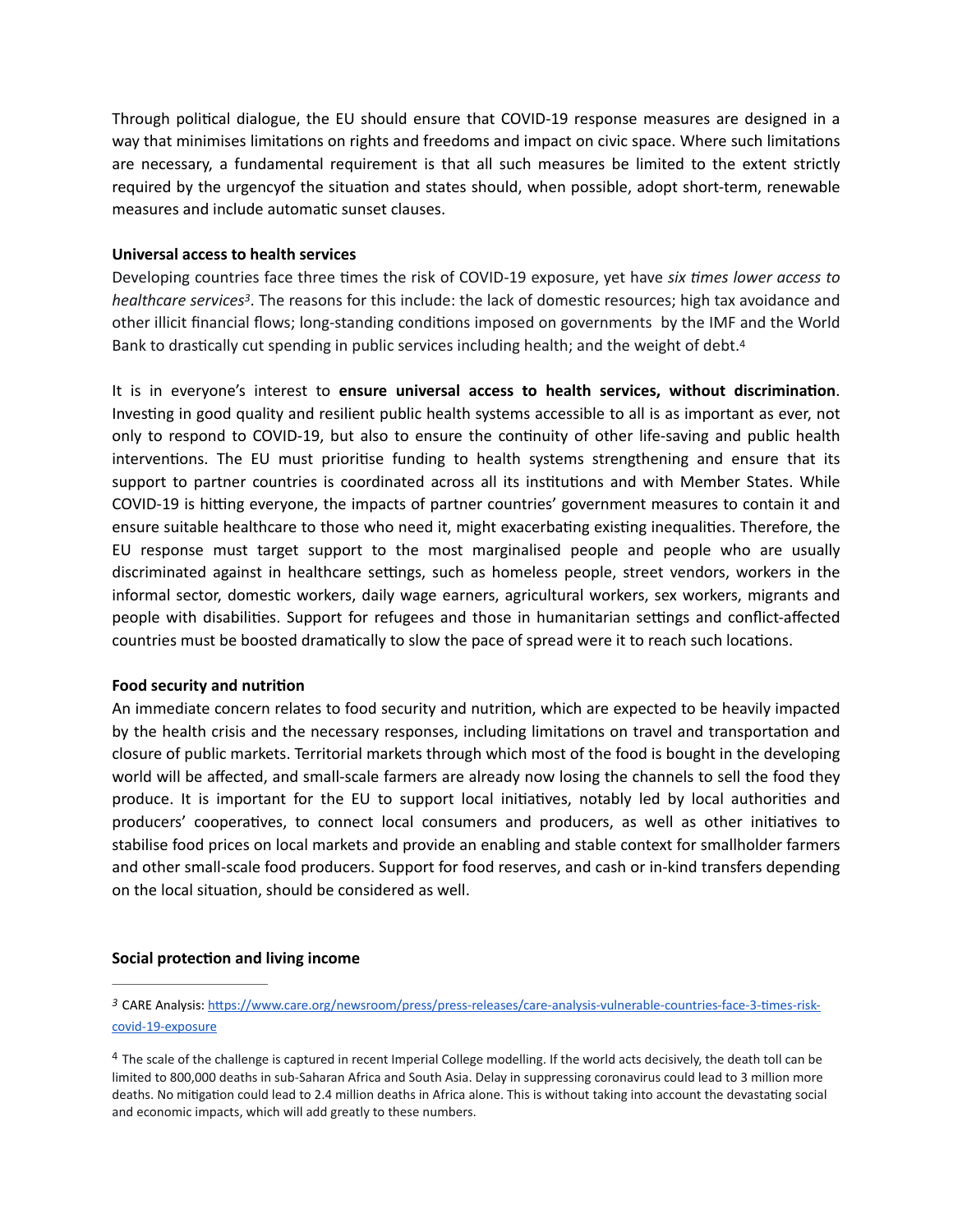Through political dialogue, the EU should ensure that COVID-19 response measures are designed in a way that minimises limitations on rights and freedoms and impact on civic space. Where such limitations are necessary, a fundamental requirement is that all such measures be limited to the extent strictly required by the urgencyof the situation and states should, when possible, adopt short-term, renewable measures and include automatic sunset clauses.

#### **Universal access to health services**

<span id="page-3-2"></span>Developing countries face three times the risk of COVID-19 exposure, yet have *six times lower access to healthcare services<sup>[3](#page-3-0)</sup>*. The reasons for this include: the lack of domestic resources; high tax avoidance and other illicit financial flows; long-standing conditions imposed on governments by the IMF and the World Bank to drastically cut spending in public services including health; and the weight of debt[.](#page-3-1)<sup>[4](#page-3-1)</sup>

<span id="page-3-3"></span>It is in everyone's interest to ensure universal access to health services, without discrimination. Investing in good quality and resilient public health systems accessible to all is as important as ever, not only to respond to COVID-19, but also to ensure the continuity of other life-saving and public health interventions. The EU must prioritise funding to health systems strengthening and ensure that its support to partner countries is coordinated across all its institutions and with Member States. While COVID-19 is hitting everyone, the impacts of partner countries' government measures to contain it and ensure suitable healthcare to those who need it, might exacerbating existing inequalities. Therefore, the EU response must target support to the most marginalised people and people who are usually discriminated against in healthcare settings, such as homeless people, street vendors, workers in the informal sector, domestic workers, daily wage earners, agricultural workers, sex workers, migrants and people with disabilities. Support for refugees and those in humanitarian settings and conflict-affected countries must be boosted dramatically to slow the pace of spread were it to reach such locations.

## **Food security and nutrition**

An immediate concern relates to food security and nutrition, which are expected to be heavily impacted by the health crisis and the necessary responses, including limitations on travel and transportation and closure of public markets. Territorial markets through which most of the food is bought in the developing world will be affected, and small-scale farmers are already now losing the channels to sell the food they produce. It is important for the EU to support local initiatives, notably led by local authorities and producers' cooperatives, to connect local consumers and producers, as well as other initiatives to stabilise food prices on local markets and provide an enabling and stable context for smallholder farmers and other small-scale food producers. Support for food reserves, and cash or in-kind transfers depending on the local situation, should be considered as well.

## **Social protection and living income**

<span id="page-3-0"></span>[<sup>3</sup>](#page-3-2) CARE Analysis: https://www.care.org/newsroom/press/press-releases/care-analysis-vulnerable-countries-face-3-times-risk[covid-19-exposure](https://www.care.org/newsroom/press/press-releases/care-analysis-vulnerable-countries-face-3-times-risk-covid-19-exposure)

<span id="page-3-1"></span><sup>&</sup>lt;sup>[4](#page-3-3)</sup> The scale of the challenge is captured in recent Imperial College modelling. If the world acts decisively, the death toll can be limited to 800,000 deaths in sub-Saharan Africa and South Asia. Delay in suppressing coronavirus could lead to 3 million more deaths. No mitigation could lead to 2.4 million deaths in Africa alone. This is without taking into account the devastating social and economic impacts, which will add greatly to these numbers.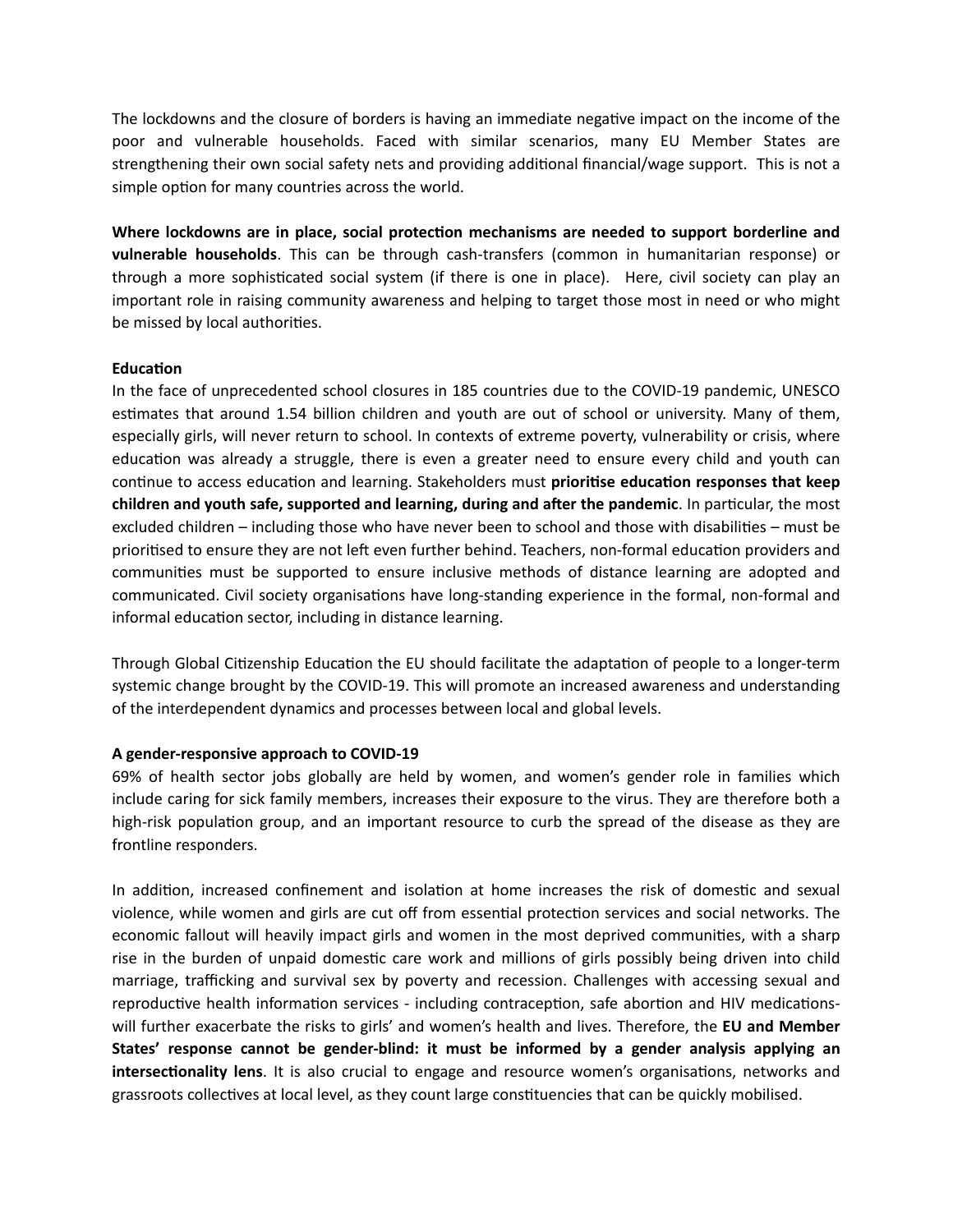The lockdowns and the closure of borders is having an immediate negative impact on the income of the poor and vulnerable households. Faced with similar scenarios, many EU Member States are strengthening their own social safety nets and providing additional financial/wage support. This is not a simple option for many countries across the world.

Where lockdowns are in place, social protection mechanisms are needed to support borderline and **vulnerable households**. This can be through cash-transfers (common in humanitarian response) or through a more sophisticated social system (if there is one in place). Here, civil society can play an important role in raising community awareness and helping to target those most in need or who might be missed by local authorities.

## **Education**

In the face of unprecedented school closures in 185 countries due to the COVID-19 pandemic, UNESCO estimates that around 1.54 billion children and youth are out of school or university. Many of them, especially girls, will never return to school. In contexts of extreme poverty, vulnerability or crisis, where education was already a struggle, there is even a greater need to ensure every child and youth can continue to access education and learning. Stakeholders must **prioritise education responses that keep children and youth safe, supported and learning, during and after the pandemic**. In particular, the most excluded children – including those who have never been to school and those with disabilities – must be prioritised to ensure they are not left even further behind. Teachers, non-formal education providers and communities must be supported to ensure inclusive methods of distance learning are adopted and communicated. Civil society organisations have long-standing experience in the formal, non-formal and informal education sector, including in distance learning.

Through Global Citizenship Education the EU should facilitate the adaptation of people to a longer-term systemic change brought by the COVID-19. This will promote an increased awareness and understanding of the interdependent dynamics and processes between local and global levels.

## **A gender-responsive approach to COVID-19**

69% of health sector jobs globally are held by women, and women's gender role in families which include caring for sick family members, increases their exposure to the virus. They are therefore both a high-risk population group, and an important resource to curb the spread of the disease as they are frontline responders.

In addition, increased confinement and isolation at home increases the risk of domestic and sexual violence, while women and girls are cut off from essential protection services and social networks. The economic fallout will heavily impact girls and women in the most deprived communities, with a sharp rise in the burden of unpaid domestic care work and millions of girls possibly being driven into child marriage, trafficking and survival sex by poverty and recession. Challenges with accessing sexual and reproductive health information services - including contraception, safe abortion and HIV medicationswill further exacerbate the risks to girls' and women's health and lives. Therefore, the **EU and Member States' response cannot be gender-blind: it must be informed by a gender analysis applying an intersectionality lens**. It is also crucial to engage and resource women's organisations, networks and grassroots collectives at local level, as they count large constituencies that can be quickly mobilised.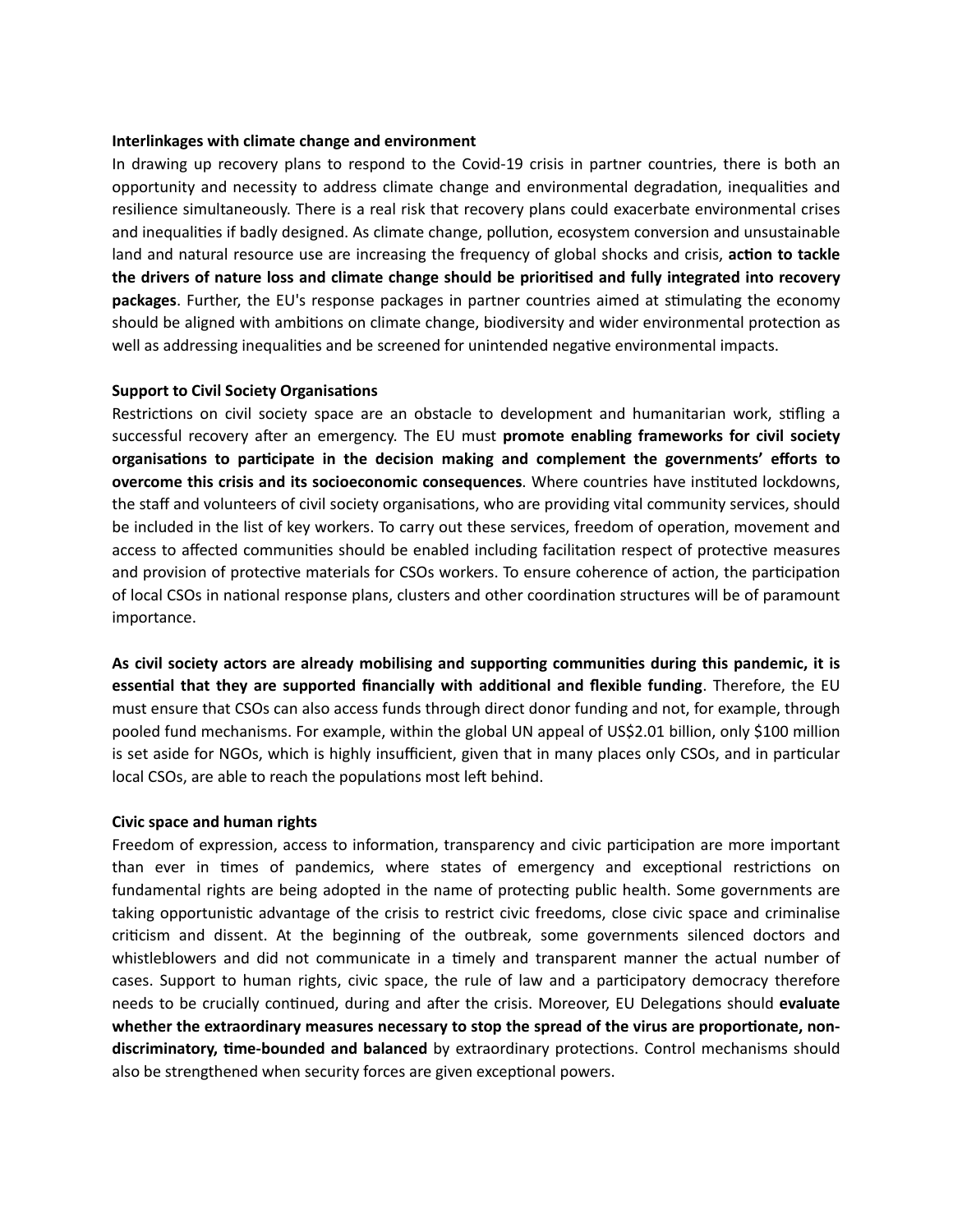#### **Interlinkages with climate change and environment**

In drawing up recovery plans to respond to the Covid-19 crisis in partner countries, there is both an opportunity and necessity to address climate change and environmental degradation, inequalities and resilience simultaneously. There is a real risk that recovery plans could exacerbate environmental crises and inequalities if badly designed. As climate change, pollution, ecosystem conversion and unsustainable land and natural resource use are increasing the frequency of global shocks and crisis, action to tackle the drivers of nature loss and climate change should be prioritised and fully integrated into recovery packages. Further, the EU's response packages in partner countries aimed at stimulating the economy should be aligned with ambitions on climate change, biodiversity and wider environmental protection as well as addressing inequalities and be screened for unintended negative environmental impacts.

#### **Support to Civil Society Organisations**

Restrictions on civil society space are an obstacle to development and humanitarian work, stifling a successful recovery after an emergency. The EU must promote enabling frameworks for civil society organisations to participate in the decision making and complement the governments' efforts to **overcome this crisis and its socioeconomic consequences**. Where countries have instituted lockdowns, the staff and volunteers of civil society organisations, who are providing vital community services, should be included in the list of key workers. To carry out these services, freedom of operation, movement and access to affected communities should be enabled including facilitation respect of protective measures and provision of protective materials for CSOs workers. To ensure coherence of action, the participation of local CSOs in national response plans, clusters and other coordination structures will be of paramount importance.

As civil society actors are already mobilising and supporting communities during this pandemic, it is **essential that they are supported financially with additional and flexible funding.** Therefore, the EU must ensure that CSOs can also access funds through direct donor funding and not, for example, through pooled fund mechanisms. For example, within the global UN appeal of US\$2.01 billion, only \$100 million is set aside for NGOs, which is highly insufficient, given that in many places only CSOs, and in particular local CSOs, are able to reach the populations most left behind.

#### **Civic space and human rights**

Freedom of expression, access to information, transparency and civic participation are more important than ever in times of pandemics, where states of emergency and exceptional restrictions on fundamental rights are being adopted in the name of protecting public health. Some governments are taking opportunistic advantage of the crisis to restrict civic freedoms, close civic space and criminalise criticism and dissent. At the beginning of the outbreak, some governments silenced doctors and whistleblowers and did not communicate in a timely and transparent manner the actual number of cases. Support to human rights, civic space, the rule of law and a participatory democracy therefore needs to be crucially continued, during and after the crisis. Moreover, EU Delegations should evaluate whether the extraordinary measures necessary to stop the spread of the virus are proportionate, nondiscriminatory, time-bounded and balanced by extraordinary protections. Control mechanisms should also be strengthened when security forces are given exceptional powers.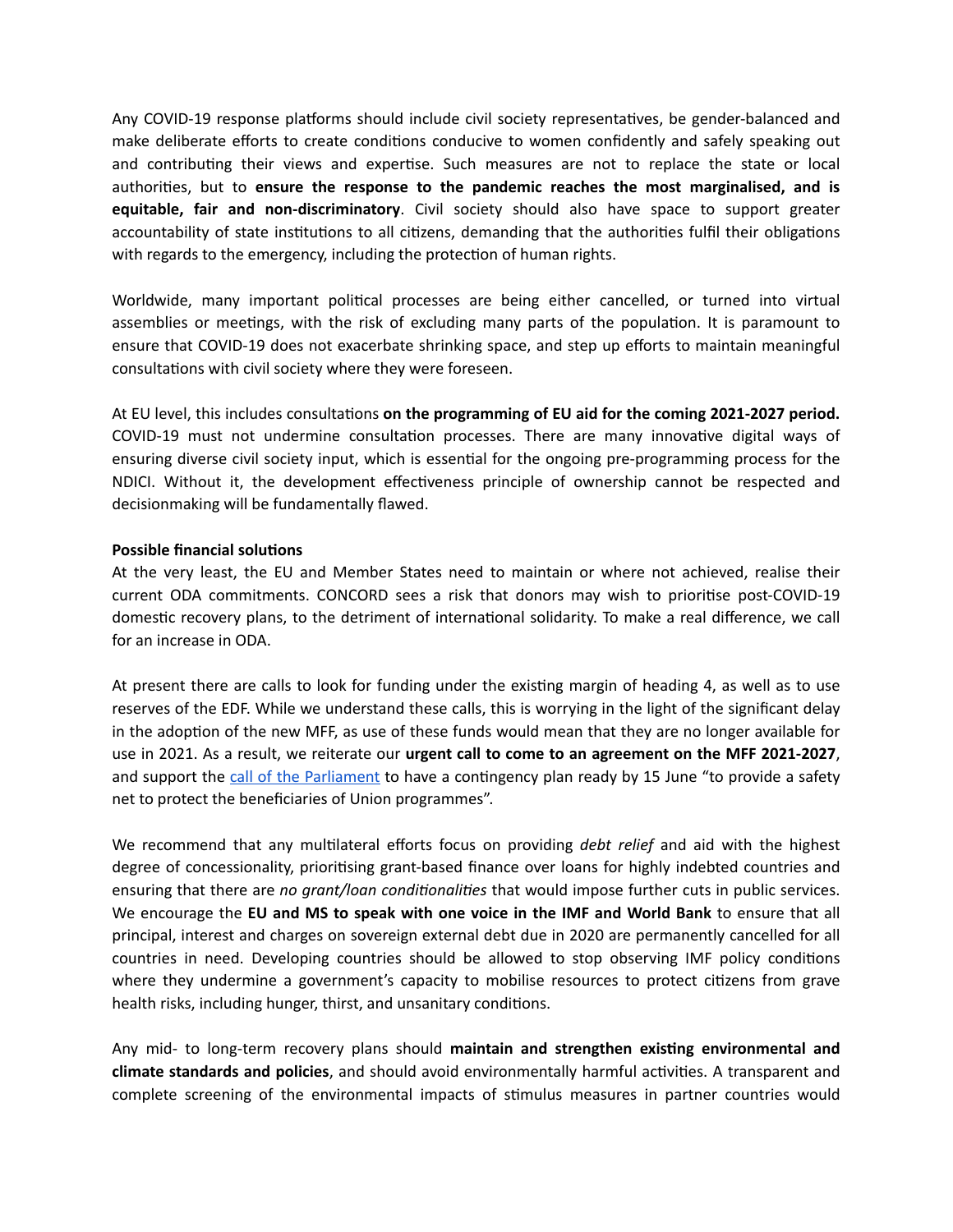Any COVID-19 response platforms should include civil society representatives, be gender-balanced and make deliberate efforts to create conditions conducive to women confidently and safely speaking out and contributing their views and expertise. Such measures are not to replace the state or local authorities, but to ensure the response to the pandemic reaches the most marginalised, and is **equitable, fair and non-discriminatory**. Civil society should also have space to support greater accountability of state institutions to all citizens, demanding that the authorities fulfil their obligations with regards to the emergency, including the protection of human rights.

Worldwide, many important political processes are being either cancelled, or turned into virtual assemblies or meetings, with the risk of excluding many parts of the population. It is paramount to ensure that COVID-19 does not exacerbate shrinking space, and step up efforts to maintain meaningful consultations with civil society where they were foreseen.

At EU level, this includes consultations on the programming of EU aid for the coming 2021-2027 period. COVID-19 must not undermine consultation processes. There are many innovative digital ways of ensuring diverse civil society input, which is essential for the ongoing pre-programming process for the NDICI. Without it, the development effectiveness principle of ownership cannot be respected and decisionmaking will be fundamentally flawed.

#### **Possible financial solutions**

At the very least, the EU and Member States need to maintain or where not achieved, realise their current ODA commitments. CONCORD sees a risk that donors may wish to prioritise post-COVID-19 domestic recovery plans, to the detriment of international solidarity. To make a real difference, we call for an increase in ODA.

At present there are calls to look for funding under the existing margin of heading 4, as well as to use reserves of the EDF. While we understand these calls, this is worrying in the light of the significant delay in the adoption of the new MFF, as use of these funds would mean that they are no longer available for use in 2021. As a result, we reiterate our **urgent call to come to an agreement on the MFF 2021-2027**, and support the [call of the Parliament](https://www.europarl.europa.eu/doceo/document/BUDG-PR-648529_EN.pdf?redirect) to have a contingency plan ready by 15 June "to provide a safety net to protect the beneficiaries of Union programmes".

We recommend that any multilateral efforts focus on providing *debt relief* and aid with the highest degree of concessionality, prioritising grant-based finance over loans for highly indebted countries and ensuring that there are *no grant/loan conditionalities* that would impose further cuts in public services. We encourage the **EU and MS to speak with one voice in the IMF and World Bank** to ensure that all principal, interest and charges on sovereign external debt due in 2020 are permanently cancelled for all countries in need. Developing countries should be allowed to stop observing IMF policy conditions where they undermine a government's capacity to mobilise resources to protect citizens from grave health risks, including hunger, thirst, and unsanitary conditions.

Any mid- to long-term recovery plans should maintain and strengthen existing environmental and **climate standards and policies**, and should avoid environmentally harmful activities. A transparent and complete screening of the environmental impacts of stimulus measures in partner countries would